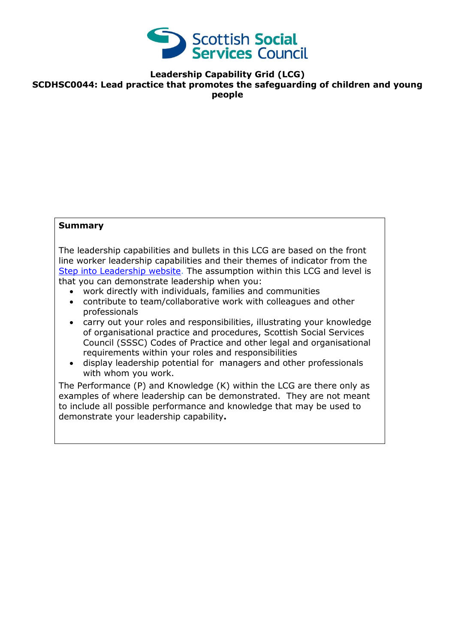

**Leadership Capability Grid (LCG) SCDHSC0044: Lead practice that promotes the safeguarding of children and young people**

## **Summary**

The leadership capabilities and bullets in this LCG are based on the front line worker leadership capabilities and their themes of indicator from the [Step into Leadership website.](http://www.stepintoleadership.info/) The assumption within this LCG and level is that you can demonstrate leadership when you:

- work directly with individuals, families and communities
- contribute to team/collaborative work with colleagues and other professionals
- carry out your roles and responsibilities, illustrating your knowledge of organisational practice and procedures, Scottish Social Services Council (SSSC) Codes of Practice and other legal and organisational requirements within your roles and responsibilities
- display leadership potential for managers and other professionals with whom you work.

The Performance (P) and Knowledge (K) within the LCG are there only as examples of where leadership can be demonstrated. They are not meant to include all possible performance and knowledge that may be used to demonstrate your leadership capability**.**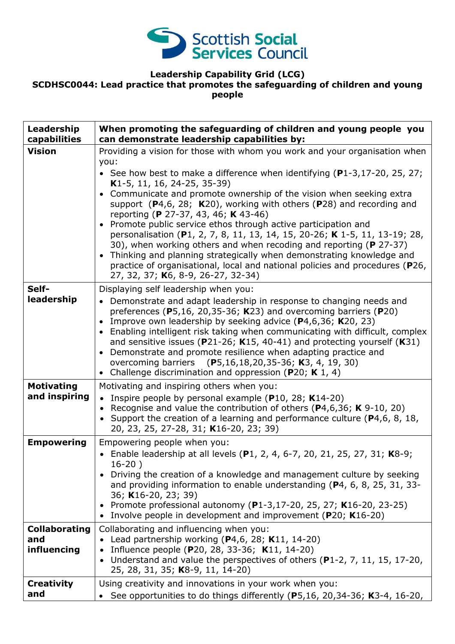

## **Leadership Capability Grid (LCG)**

## **SCDHSC0044: Lead practice that promotes the safeguarding of children and young people**

| Leadership<br>capabilities                 | When promoting the safeguarding of children and young people you<br>can demonstrate leadership capabilities by:                                                                                                                                                                                                                                                                                                                                                                                                                                                                                                                                                                                                                                                                                                                  |
|--------------------------------------------|----------------------------------------------------------------------------------------------------------------------------------------------------------------------------------------------------------------------------------------------------------------------------------------------------------------------------------------------------------------------------------------------------------------------------------------------------------------------------------------------------------------------------------------------------------------------------------------------------------------------------------------------------------------------------------------------------------------------------------------------------------------------------------------------------------------------------------|
| <b>Vision</b>                              | Providing a vision for those with whom you work and your organisation when<br>you:<br>• See how best to make a difference when identifying $(P1-3, 17-20, 25, 27)$<br>K1-5, 11, 16, 24-25, 35-39)<br>• Communicate and promote ownership of the vision when seeking extra<br>support $(P4,6, 28; K20)$ , working with others $(P28)$ and recording and<br>reporting (P 27-37, 43, 46; K 43-46)<br>• Promote public service ethos through active participation and<br>personalisation (P1, 2, 7, 8, 11, 13, 14, 15, 20-26; K 1-5, 11, 13-19; 28,<br>30), when working others and when recoding and reporting (P 27-37)<br>Thinking and planning strategically when demonstrating knowledge and<br>$\bullet$<br>practice of organisational, local and national policies and procedures (P26,<br>27, 32, 37; K6, 8-9, 26-27, 32-34) |
| Self-<br>leadership                        | Displaying self leadership when you:<br>Demonstrate and adapt leadership in response to changing needs and<br>$\bullet$<br>preferences (P5,16, 20,35-36; K23) and overcoming barriers (P20)<br>Improve own leadership by seeking advice $(P4, 6, 36; K20, 23)$<br>• Enabling intelligent risk taking when communicating with difficult, complex<br>and sensitive issues ( $P$ 21-26; K15, 40-41) and protecting yourself (K31)<br>Demonstrate and promote resilience when adapting practice and<br>$\bullet$<br>overcoming barriers (P5,16,18,20,35-36; K3, 4, 19, 30)<br>• Challenge discrimination and oppression (P20; K 1, 4)                                                                                                                                                                                                |
| <b>Motivating</b><br>and inspiring         | Motivating and inspiring others when you:<br>• Inspire people by personal example ( $P10$ , 28; K14-20)<br>• Recognise and value the contribution of others ( $P4,6,36$ ; K $9-10$ , 20)<br>• Support the creation of a learning and performance culture (P4,6, 8, 18,<br>20, 23, 25, 27-28, 31; K16-20, 23; 39)                                                                                                                                                                                                                                                                                                                                                                                                                                                                                                                 |
| <b>Empowering</b>                          | Empowering people when you:<br>• Enable leadership at all levels (P1, 2, 4, 6-7, 20, 21, 25, 27, 31; K8-9;<br>$16-20$ )<br>Driving the creation of a knowledge and management culture by seeking<br>and providing information to enable understanding (P4, 6, 8, 25, 31, 33-<br>36; K16-20, 23; 39)<br>• Promote professional autonomy (P1-3,17-20, 25, 27; K16-20, 23-25)<br>Involve people in development and improvement (P20; K16-20)                                                                                                                                                                                                                                                                                                                                                                                        |
| <b>Collaborating</b><br>and<br>influencing | Collaborating and influencing when you:<br>Lead partnership working $(P4, 6, 28; K11, 14-20)$<br>Influence people (P20, 28, 33-36; K11, 14-20)<br>Understand and value the perspectives of others (P1-2, 7, 11, 15, 17-20,<br>$\bullet$<br>25, 28, 31, 35; K8-9, 11, 14-20)                                                                                                                                                                                                                                                                                                                                                                                                                                                                                                                                                      |
| <b>Creativity</b><br>and                   | Using creativity and innovations in your work when you:<br>See opportunities to do things differently (P5,16, 20,34-36; K3-4, 16-20,                                                                                                                                                                                                                                                                                                                                                                                                                                                                                                                                                                                                                                                                                             |